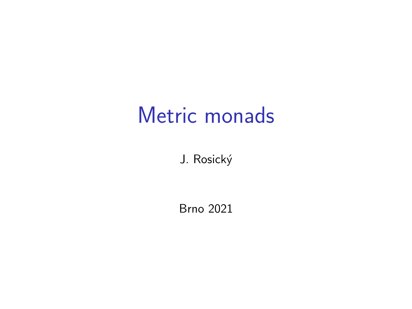## Metric monads

J. Rosický

Brno 2021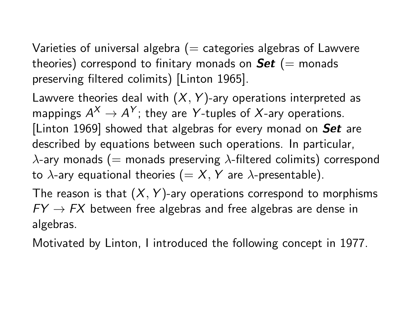Varieties of universal algebra  $(=$  categories algebras of Lawvere theories) correspond to finitary monads on  $\mathbf{Set}$  (= monads preserving filtered colimits) [Linton 1965].

Lawvere theories deal with  $(X, Y)$ -ary operations interpreted as mappings  $A^X \rightarrow A^Y$ ; they are Y-tuples of X-ary operations. [Linton 1969] showed that algebras for every monad on  $Set$  are described by equations between such operations. In particular,  $\lambda$ -ary monads (= monads preserving  $\lambda$ -filtered colimits) correspond to  $\lambda$ -ary equational theories (= X, Y are  $\lambda$ -presentable).

The reason is that  $(X, Y)$ -ary operations correspond to morphisms  $FY \rightarrow FX$  between free algebras and free algebras are dense in algebras.

Motivated by Linton, I introduced the following concept in 1977.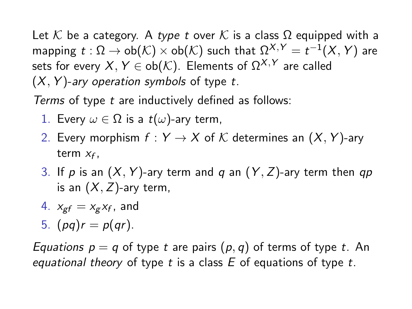Let K be a category. A type t over K is a class  $\Omega$  equipped with a mapping  $t:\Omega\to \mathsf{ob}(\mathcal{K})\times \mathsf{ob}(\mathcal{K})$  such that  $\Omega^{X,Y}=t^{-1}(X,Y)$  are sets for every  $X, Y \in ob(\mathcal{K})$ . Elements of  $\Omega^{X, Y}$  are called  $(X, Y)$ -ary operation symbols of type t.

Terms of type t are inductively defined as follows:

- 1. Every  $\omega \in \Omega$  is a  $t(\omega)$ -ary term,
- 2. Every morphism  $f: Y \to X$  of K determines an  $(X, Y)$ -ary term  $x_f$ ,
- 3. If p is an  $(X, Y)$ -ary term and q an  $(Y, Z)$ -ary term then qp is an  $(X, Z)$ -ary term,
- 4.  $x_{gf} = x_g x_f$ , and
- 5.  $(pq)r = p(qr)$ .

*Equations*  $p = q$  *of type t are pairs*  $(p, q)$  *of terms of type t. An* equational theory of type t is a class  $E$  of equations of type t.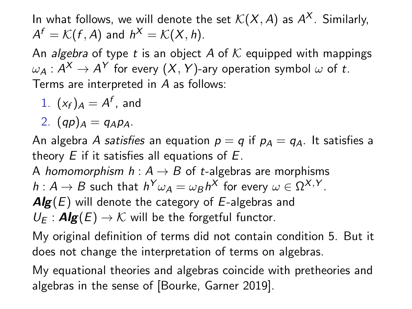In what follows, we will denote the set  $\mathcal{K}(X,A)$  as  $\mathcal{A}^X.$  Similarly,  $A^f = \mathcal{K}(f, A)$  and  $h^X = \mathcal{K}(X, h)$ .

An *algebra* of type t is an object A of K equipped with mappings  $\omega_\mathcal{A}: \mathcal{A}^\mathcal{X} \to \mathcal{A}^\mathcal{Y}$  for every  $(X, Y)$ -ary operation symbol  $\omega$  of  $t.$ Terms are interpreted in A as follows:

1.  $(x_f)_A = A^f$ , and

2.  $(qp)_A = q_A p_A$ .

An algebra A satisfies an equation  $p = q$  if  $p_A = q_A$ . It satisfies a theory  $E$  if it satisfies all equations of  $E$ .

A homomorphism  $h: A \rightarrow B$  of t-algebras are morphisms  $h: A \to B$  such that  $h^Y \omega_A = \omega_B h^X$  for every  $\omega \in \Omega^{X,Y}.$ 

 $\mathbf{Alg}(E)$  will denote the category of E-algebras and

 $U_F: \mathbf{Alg}(E) \to \mathcal{K}$  will be the forgetful functor.

My original definition of terms did not contain condition 5. But it does not change the interpretation of terms on algebras.

My equational theories and algebras coincide with pretheories and algebras in the sense of [Bourke, Garner 2019].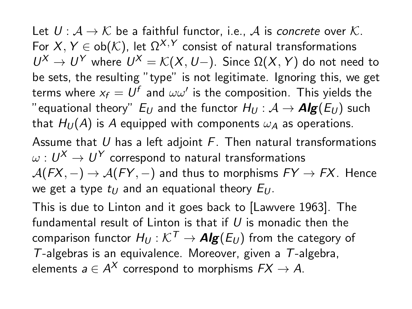Let  $U: \mathcal{A} \to \mathcal{K}$  be a faithful functor, i.e.,  $\mathcal{A}$  is concrete over  $\mathcal{K}$ . For  $X, Y \in ob(\mathcal{K})$ , let  $\Omega^{X, Y}$  consist of natural transformations  $U^X$  →  $U^Y$  where  $U^X = \mathcal{K}(X, U-)$ . Since Ω $(X, Y)$  do not need to be sets, the resulting "type" is not legitimate. Ignoring this, we get terms where  $x_f=U^f$  and  $\omega\omega'$  is the composition. This yields the "equational theory"  $E_U$  and the functor  $H_U : \mathcal{A} \to \mathbf{Alg}(E_U)$  such that  $H_U(A)$  is A equipped with components  $\omega_A$  as operations. Assume that U has a left adjoint  $F$ . Then natural transformations  $\omega: U^{\mathsf{X}}\to U^{\mathsf{Y}}$  correspond to natural transformations  $A(FX, -) \rightarrow A(FY, -)$  and thus to morphisms  $FY \rightarrow FX$ . Hence we get a type  $t_U$  and an equational theory  $E_U$ .

This is due to Linton and it goes back to [Lawvere 1963]. The fundamental result of Linton is that if U is monadic then the comparison functor  $H_U : \mathcal{K}^T \to \mathbf{Alg}(E_U)$  from the category of T-algebras is an equivalence. Moreover, given a  $T$ -algebra. elements  $a \in A^\mathcal{X}$  correspond to morphisms  $F\mathcal{X} \to A.$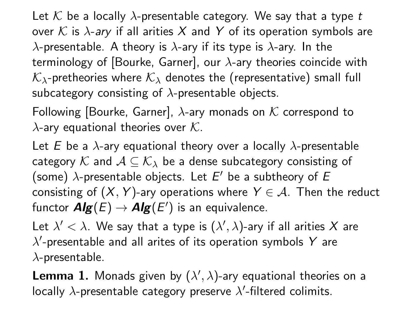Let K be a locally  $\lambda$ -presentable category. We say that a type t over K is  $\lambda$ -ary if all arities X and Y of its operation symbols are  $\lambda$ -presentable. A theory is  $\lambda$ -ary if its type is  $\lambda$ -ary. In the terminology of [Bourke, Garner], our  $\lambda$ -ary theories coincide with  $K_{\lambda}$ -pretheories where  $K_{\lambda}$  denotes the (representative) small full subcategory consisting of  $\lambda$ -presentable objects.

Following [Bourke, Garner],  $\lambda$ -ary monads on K correspond to  $\lambda$ -ary equational theories over K.

Let E be a  $\lambda$ -ary equational theory over a locally  $\lambda$ -presentable category K and  $A \subseteq K_{\lambda}$  be a dense subcategory consisting of (some)  $\lambda$ -presentable objects. Let  $E'$  be a subtheory of  $E$ consisting of  $(X, Y)$ -ary operations where  $Y \in \mathcal{A}$ . Then the reduct functor  $\textit{Alg}(E) \to \textit{Alg}(E')$  is an equivalence.

Let  $\lambda' < \lambda$ . We say that a type is  $(\lambda', \lambda)$ -ary if all arities  $X$  are  $\lambda'$ -presentable and all arites of its operation symbols Y are  $\lambda$ -presentable.

**Lemma 1.** Monads given by  $(\lambda', \lambda)$ -ary equational theories on a locally  $\lambda$ -presentable category preserve  $\lambda'$ -filtered colimits.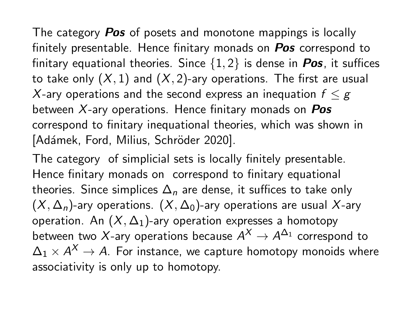The category **Pos** of posets and monotone mappings is locally finitely presentable. Hence finitary monads on **Pos** correspond to finitary equational theories. Since  $\{1,2\}$  is dense in **Pos**, it suffices to take only  $(X, 1)$  and  $(X, 2)$ -ary operations. The first are usual X-ary operations and the second express an inequation  $f \leq g$ between  $X$ -ary operations. Hence finitary monads on  $Pos$ correspond to finitary inequational theories, which was shown in [Adámek, Ford, Milius, Schröder 2020].

The category of simplicial sets is locally finitely presentable. Hence finitary monads on correspond to finitary equational theories. Since simplices  $\Delta_n$  are dense, it suffices to take only  $(X, \Delta_n)$ -ary operations.  $(X, \Delta_0)$ -ary operations are usual X-ary operation. An  $(X, \Delta_1)$ -ary operation expresses a homotopy between two X-ary operations because  $A^\mathsf{X}\to A^{\Delta_1}$  correspond to  $\Delta_1\times \mathcal{A}^{\mathcal{X}}\rightarrow \mathcal{A}$ . For instance, we capture homotopy monoids where associativity is only up to homotopy.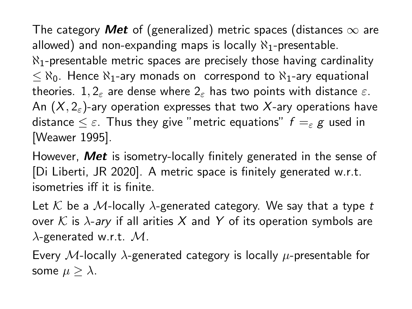The category Met of (generalized) metric spaces (distances  $\infty$  are allowed) and non-expanding maps is locally  $\aleph_1$ -presentable.  $\aleph_1$ -presentable metric spaces are precisely those having cardinality  $\langle \xi \rangle$  =  $\chi_0$ . Hence  $\chi_1$ -ary monads on correspond to  $\chi_1$ -ary equational theories. 1,  $2_{\varepsilon}$  are dense where  $2_{\varepsilon}$  has two points with distance  $\varepsilon$ . An  $(X, 2\varepsilon)$ -ary operation expresses that two X-ary operations have distance  $\leq \varepsilon$ . Thus they give "metric equations"  $f = \varepsilon g$  used in [Weawer 1995].

However, **Met** is isometry-locally finitely generated in the sense of [Di Liberti, JR 2020]. A metric space is finitely generated w.r.t. isometries iff it is finite.

Let K be a M-locally  $\lambda$ -generated category. We say that a type t over K is  $\lambda$ -ary if all arities X and Y of its operation symbols are  $\lambda$ -generated w.r.t.  $M$ .

Every M-locally  $\lambda$ -generated category is locally  $\mu$ -presentable for some  $\mu \geq \lambda$ .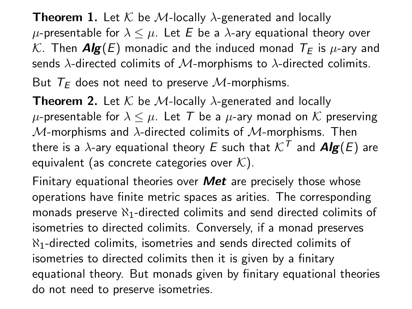**Theorem 1.** Let K be M-locally  $\lambda$ -generated and locally  $\mu$ -presentable for  $\lambda \leq \mu$ . Let E be a  $\lambda$ -ary equational theory over K. Then  $\mathbf{Alg}(E)$  monadic and the induced monad  $\mathcal{T}_F$  is  $\mu$ -ary and sends  $\lambda$ -directed colimits of M-morphisms to  $\lambda$ -directed colimits. But  $T_F$  does not need to preserve M-morphisms.

**Theorem 2.** Let K be M-locally  $\lambda$ -generated and locally  $\mu$ -presentable for  $\lambda \leq \mu$ . Let T be a  $\mu$ -ary monad on K preserving  $M$ -morphisms and  $\lambda$ -directed colimits of  $M$ -morphisms. Then there is a  $\lambda$ -ary equational theory E such that  $\mathcal{K}^T$  and  $\mathbf{Alg}(E)$  are equivalent (as concrete categories over  $K$ ).

Finitary equational theories over  $Met$  are precisely those whose operations have finite metric spaces as arities. The corresponding monads preserve  $\aleph_1$ -directed colimits and send directed colimits of isometries to directed colimits. Conversely, if a monad preserves  $N_1$ -directed colimits, isometries and sends directed colimits of isometries to directed colimits then it is given by a finitary equational theory. But monads given by finitary equational theories do not need to preserve isometries.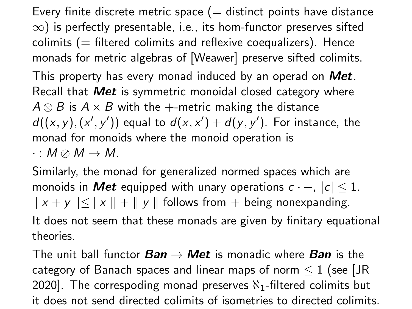Every finite discrete metric space  $(=$  distinct points have distance  $\infty$ ) is perfectly presentable, i.e., its hom-functor preserves sifted colimits  $(=$  filtered colimits and reflexive coequalizers). Hence monads for metric algebras of [Weawer] preserve sifted colimits. This property has every monad induced by an operad on **Met**. Recall that Met is symmetric monoidal closed category where  $A \otimes B$  is  $A \times B$  with the +-metric making the distance

 $d((x, y), (x', y'))$  equal to  $d(x, x') + d(y, y')$ . For instance, the monad for monoids where the monoid operation is

 $\cdot : M \otimes M \rightarrow M$ .

Similarly, the monad for generalized normed spaces which are monoids in Met equipped with unary operations  $c \cdot -$ ,  $|c| \leq 1$ .  $\|x + y\| \le \|x\| + \|y\|$  follows from + being nonexpanding.

It does not seem that these monads are given by finitary equational theories.

The unit ball functor  $Ban \rightarrow Met$  is monadic where  $Ban$  is the category of Banach spaces and linear maps of norm  $\leq 1$  (see [JR 2020]. The correspoding monad preserves  $\aleph_1$ -filtered colimits but it does not send directed colimits of isometries to directed colimits.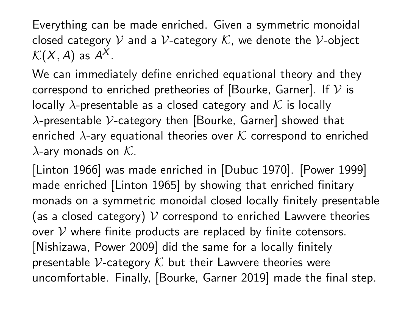Everything can be made enriched. Given a symmetric monoidal closed category V and a V-category K, we denote the V-object  $\mathcal{K}(X,A)$  as  $A^X.$ 

We can immediately define enriched equational theory and they correspond to enriched pretheories of [Bourke, Garner]. If  $V$  is locally  $\lambda$ -presentable as a closed category and K is locally  $\lambda$ -presentable V-category then [Bourke, Garner] showed that enriched  $\lambda$ -ary equational theories over K correspond to enriched  $\lambda$ -ary monads on  $K$ .

[Linton 1966] was made enriched in [Dubuc 1970]. [Power 1999] made enriched [Linton 1965] by showing that enriched finitary monads on a symmetric monoidal closed locally finitely presentable (as a closed category)  $V$  correspond to enriched Lawvere theories over  $V$  where finite products are replaced by finite cotensors. [Nishizawa, Power 2009] did the same for a locally finitely presentable V-category  $K$  but their Lawvere theories were uncomfortable. Finally, [Bourke, Garner 2019] made the final step.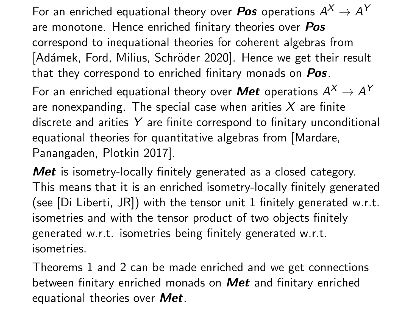For an enriched equational theory over  $\textit{Pos}$  operations  $A^X \rightarrow A^Y$ are monotone. Hence enriched finitary theories over Pos correspond to inequational theories for coherent algebras from [Adámek, Ford, Milius, Schröder 2020]. Hence we get their result that they correspond to enriched finitary monads on Pos.

For an enriched equational theory over  $\bm{\mathit{Met}}$  operations  $A^X\to A^Y$ are nonexpanding. The special case when arities  $X$  are finite discrete and arities Y are finite correspond to finitary unconditional equational theories for quantitative algebras from [Mardare, Panangaden, Plotkin 2017].

Met is isometry-locally finitely generated as a closed category. This means that it is an enriched isometry-locally finitely generated (see [Di Liberti, JR]) with the tensor unit 1 finitely generated w.r.t. isometries and with the tensor product of two objects finitely generated w.r.t. isometries being finitely generated w.r.t. isometries.

Theorems 1 and 2 can be made enriched and we get connections between finitary enriched monads on **Met** and finitary enriched equational theories over Met.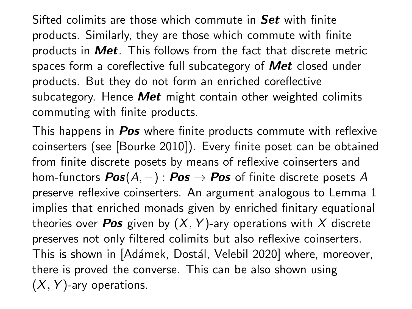Sifted colimits are those which commute in Set with finite products. Similarly, they are those which commute with finite products in Met. This follows from the fact that discrete metric spaces form a coreflective full subcategory of **Met** closed under products. But they do not form an enriched coreflective subcategory. Hence **Met** might contain other weighted colimits commuting with finite products.

This happens in **Pos** where finite products commute with reflexive coinserters (see [Bourke 2010]). Every finite poset can be obtained from finite discrete posets by means of reflexive coinserters and hom-functors  $Pos(A, -) : Pos \rightarrow Pos$  of finite discrete posets A preserve reflexive coinserters. An argument analogous to Lemma 1 implies that enriched monads given by enriched finitary equational theories over **Pos** given by  $(X, Y)$ -ary operations with X discrete preserves not only filtered colimits but also reflexive coinserters. This is shown in [Adámek, Dostál, Velebil 2020] where, moreover, there is proved the converse. This can be also shown using  $(X, Y)$ -ary operations.